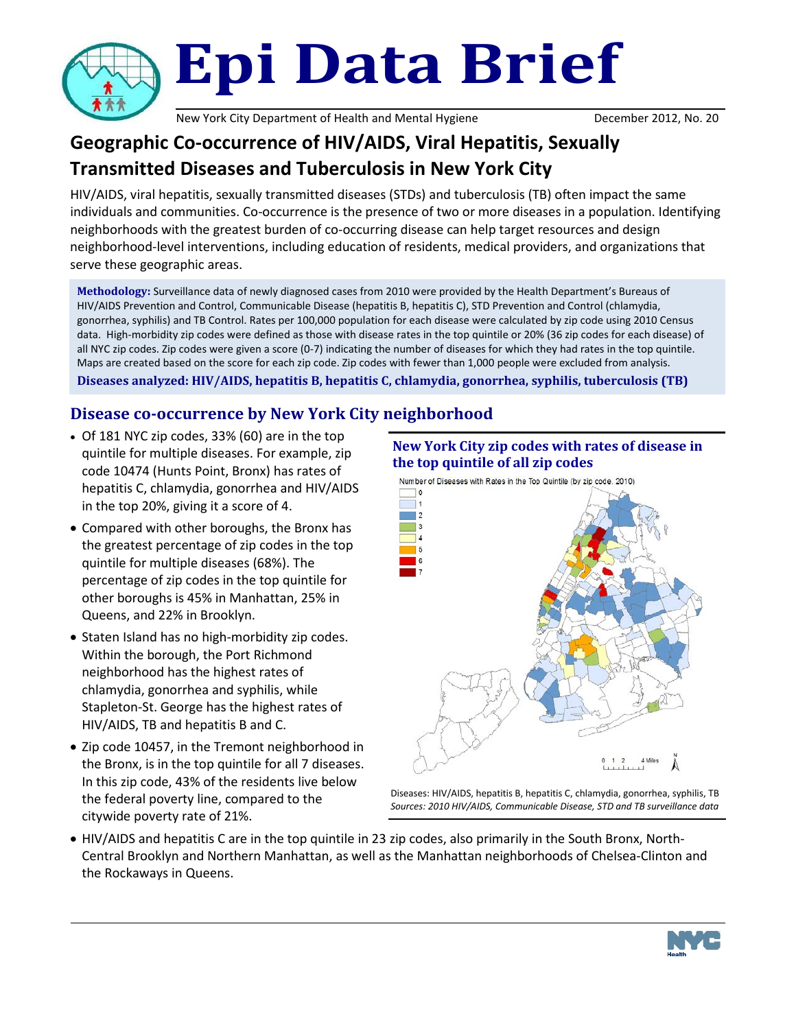

**Epi Data Brief** 

New York City Department of Health and Mental Hygiene **December 2012, No. 20** 

# **Geographic Co-occurrence of HIV/AIDS, Viral Hepatitis, Sexually Transmitted Diseases and Tuberculosis in New York City**

HIV/AIDS, viral hepatitis, sexually transmitted diseases (STDs) and tuberculosis (TB) often impact the same individuals and communities. Co-occurrence is the presence of two or more diseases in a population. Identifying neighborhoods with the greatest burden of co-occurring disease can help target resources and design neighborhood-level interventions, including education of residents, medical providers, and organizations that serve these geographic areas.

**Methodology:** Surveillance data of newly diagnosed cases from 2010 were provided by the Health Department's Bureaus of HIV/AIDS Prevention and Control, Communicable Disease (hepatitis B, hepatitis C), STD Prevention and Control (chlamydia, gonorrhea, syphilis) and TB Control. Rates per 100,000 population for each disease were calculated by zip code using 2010 Census data. High-morbidity zip codes were defined as those with disease rates in the top quintile or 20% (36 zip codes for each disease) of all NYC zip codes. Zip codes were given a score (0-7) indicating the number of diseases for which they had rates in the top quintile. Maps are created based on the score for each zip code. Zip codes with fewer than 1,000 people were excluded from analysis.

**Diseases analyzed: HIV/AIDS, hepatitis B, hepatitis C, chlamydia, gonorrhea, syphilis, tuberculosis (TB)**

# **Disease co-occurrence by New York City neighborhood**

- Of 181 NYC zip codes, 33% (60) are in the top quintile for multiple diseases. For example, zip code 10474 (Hunts Point, Bronx) has rates of hepatitis C, chlamydia, gonorrhea and HIV/AIDS in the top 20%, giving it a score of 4.
- Compared with other boroughs, the Bronx has the greatest percentage of zip codes in the top quintile for multiple diseases (68%). The percentage of zip codes in the top quintile for other boroughs is 45% in Manhattan, 25% in Queens, and 22% in Brooklyn.
- Staten Island has no high-morbidity zip codes. Within the borough, the Port Richmond neighborhood has the highest rates of chlamydia, gonorrhea and syphilis, while Stapleton-St. George has the highest rates of HIV/AIDS, TB and hepatitis B and C.
- Zip code 10457, in the Tremont neighborhood in the Bronx, is in the top quintile for all 7 diseases. In this zip code, 43% of the residents live below the federal poverty line, compared to the citywide poverty rate of 21%.

## **New York City zip codes with rates of disease in the top quintile of all zip codes**

Number of Diseases with Rates in the Top Quintile (by zip code, 2010)



Diseases: HIV/AIDS, hepatitis B, hepatitis C, chlamydia, gonorrhea, syphilis, TB *Sources: 2010 HIV/AIDS, Communicable Disease, STD and TB surveillance data*

• HIV/AIDS and hepatitis C are in the top quintile in 23 zip codes, also primarily in the South Bronx, North-Central Brooklyn and Northern Manhattan, as well as the Manhattan neighborhoods of Chelsea-Clinton and the Rockaways in Queens.